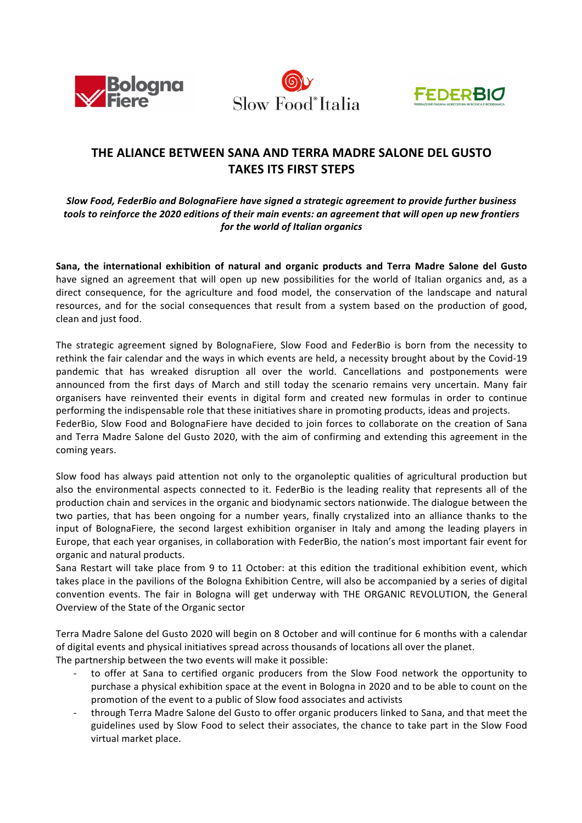





## **THE ALIANCE BETWEEN SANA AND TERRA MADRE SALONE DEL GUSTO TAKES ITS FIRST STEPS**

Slow Food, FederBio and BolognaFiere have signed a strategic agreement to provide further business tools to reinforce the 2020 editions of their main events: an agreement that will open up new frontiers *for the world of Italian organics* 

Sana, the international exhibition of natural and organic products and Terra Madre Salone del Gusto have signed an agreement that will open up new possibilities for the world of Italian organics and, as a direct consequence, for the agriculture and food model, the conservation of the landscape and natural resources, and for the social consequences that result from a system based on the production of good, clean and just food.

The strategic agreement signed by BolognaFiere, Slow Food and FederBio is born from the necessity to rethink the fair calendar and the ways in which events are held, a necessity brought about by the Covid-19 pandemic that has wreaked disruption all over the world. Cancellations and postponements were announced from the first days of March and still today the scenario remains very uncertain. Many fair organisers have reinvented their events in digital form and created new formulas in order to continue performing the indispensable role that these initiatives share in promoting products, ideas and projects. FederBio, Slow Food and BolognaFiere have decided to join forces to collaborate on the creation of Sana and Terra Madre Salone del Gusto 2020, with the aim of confirming and extending this agreement in the coming years.

Slow food has always paid attention not only to the organoleptic qualities of agricultural production but also the environmental aspects connected to it. FederBio is the leading reality that represents all of the production chain and services in the organic and biodynamic sectors nationwide. The dialogue between the two parties, that has been ongoing for a number years, finally crystalized into an alliance thanks to the input of BolognaFiere, the second largest exhibition organiser in Italy and among the leading players in Europe, that each year organises, in collaboration with FederBio, the nation's most important fair event for organic and natural products.

Sana Restart will take place from 9 to 11 October: at this edition the traditional exhibition event, which takes place in the pavilions of the Bologna Exhibition Centre, will also be accompanied by a series of digital convention events. The fair in Bologna will get underway with THE ORGANIC REVOLUTION, the General Overview of the State of the Organic sector

Terra Madre Salone del Gusto 2020 will begin on 8 October and will continue for 6 months with a calendar of digital events and physical initiatives spread across thousands of locations all over the planet. The partnership between the two events will make it possible:

- to offer at Sana to certified organic producers from the Slow Food network the opportunity to purchase a physical exhibition space at the event in Bologna in 2020 and to be able to count on the promotion of the event to a public of Slow food associates and activists
- through Terra Madre Salone del Gusto to offer organic producers linked to Sana, and that meet the guidelines used by Slow Food to select their associates, the chance to take part in the Slow Food virtual market place.